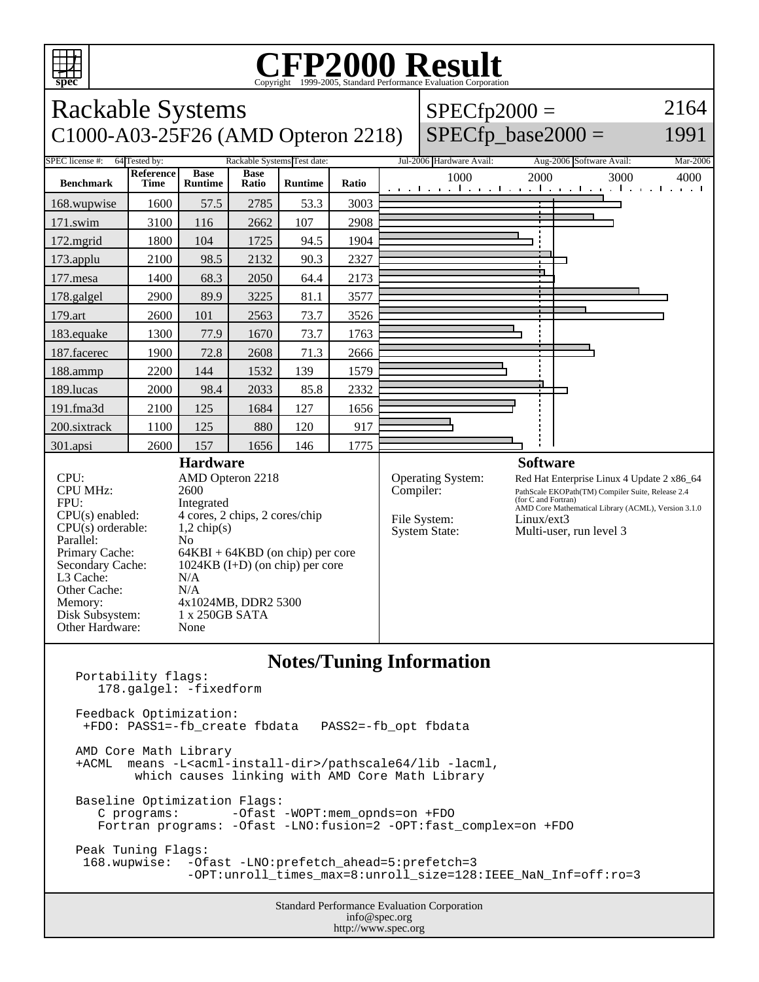

## **CFP2000 Result** Copyright 1999-2005, Standard Performance Evaluation Corporation

Rackable Systems C1000-A03-25F26 (AMD Opteron 2218)  $SPECfp2000 =$  $SPECfp\_base2000 =$ 2164 1991 SPEC license #: 64 Tested by: Rackable Systems Test date: Jul-2006 Hardware Avail: Aug-2006 Software Avail: Mar-2006 **Benchmark Reference Time Base Runtime Base Runtime Ratio** 1000 2000 3000 4000 168.wupwise 1600 57.5 2785 53.3 3003 171.swim | 3100 | 116 | 2662 | 107 | 2908 172.mgrid | 1800 | 104 | 1725 | 94.5 | 1904 173.applu | 2100 | 98.5 | 2132 | 90.3 | 2327 177.mesa | 1400 | 68.3 | 2050 | 64.4 | 2173 178.galgel | 2900 | 89.9 | 3225 | 81.1 | 3577 179.art 2600 101 2563 73.7 3526 183.equake 1300 77.9 1670 73.7 1763 187.facerec | 1900 | 72.8 | 2608 | 71.3 | 2666 188.ammp | 2200 | 144 | 1532 | 139 | 1579 189.lucas | 2000 | 98.4 | 2033 | 85.8 | 2332 191.fma3d 2100 125 1684 127 1656 200.sixtrack 1100 125 880 120 917 301.apsi 2600 157 1656 146 1775 **Hardware** CPU: AMD Opteron 2218 CPU MHz: 2600 FPU: Integrated<br>CPU(s) enabled: 4 cores, 2  $4 \text{ cores}, 2 \text{ chips}, 2 \text{ cores/chip}$ <br>1,2 chip(s)  $CPU(s)$  orderable: Parallel: No<br>Primary Cache: 64F  $64KBI + 64KBD$  (on chip) per core Secondary Cache: 1024KB (I+D) (on chip) per core L3 Cache: N/A<br>Other Cache: N/A Other Cache: Memory: 4x1024MB, DDR2 5300 Disk Subsystem: 1 x 250GB SATA Other Hardware: None **Software** Operating System: Red Hat Enterprise Linux 4 Update 2 x86\_64<br>
Compiler: PathScale EKOPath(TM) Compiler Suite, Release 2.4 PathScale EKOPath(TM) Compiler Suite, Release 2.4 (for C and Fortran) AMD Core Mathematical Library (ACML), Version 3.1.0 File System: Linux/ext3<br>System State: Multi-user, Multi-user, run level 3 **Notes/Tuning Information** Portability flags:

 178.galgel: -fixedform Feedback Optimization: +FDO: PASS1=-fb\_create fbdata PASS2=-fb\_opt fbdata AMD Core Math Library +ACML means -L<acml-install-dir>/pathscale64/lib -lacml, which causes linking with AMD Core Math Library Baseline Optimization Flags: C programs: -Ofast -WOPT:mem\_opnds=on +FDO Fortran programs: -Ofast -LNO:fusion=2 -OPT:fast\_complex=on +FDO Peak Tuning Flags: 168.wupwise: -Ofast -LNO:prefetch\_ahead=5:prefetch=3 -OPT:unroll\_times\_max=8:unroll\_size=128:IEEE\_NaN\_Inf=off:ro=3

Standard Performance Evaluation Corporation info@spec.org http://www.spec.org